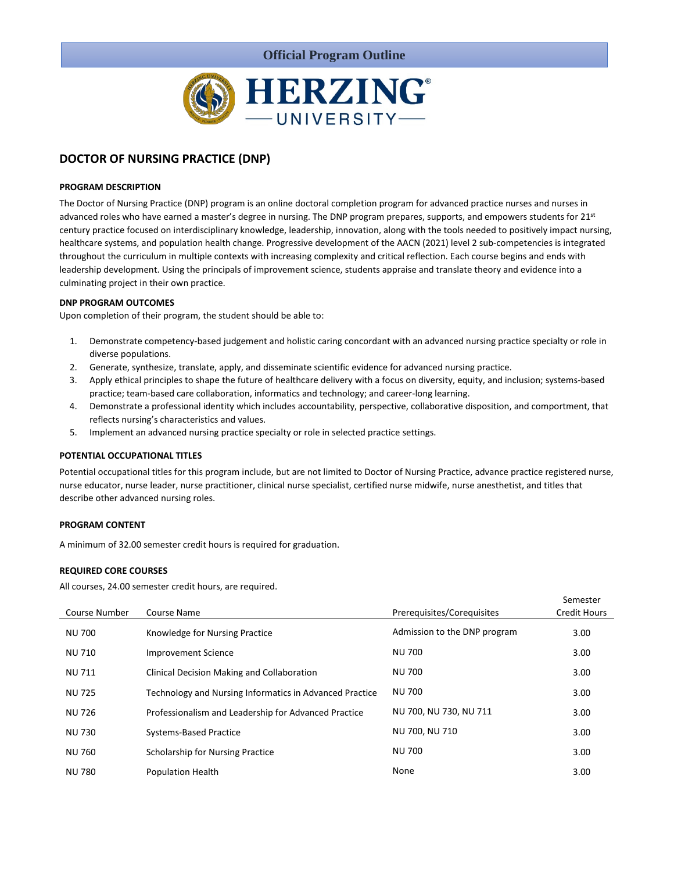

# **DOCTOR OF NURSING PRACTICE (DNP)**

# **PROGRAM DESCRIPTION**

The Doctor of Nursing Practice (DNP) program is an online doctoral completion program for advanced practice nurses and nurses in advanced roles who have earned a master's degree in nursing. The DNP program prepares, supports, and empowers students for 21<sup>st</sup> century practice focused on interdisciplinary knowledge, leadership, innovation, along with the tools needed to positively impact nursing, healthcare systems, and population health change. Progressive development of the AACN (2021) level 2 sub-competencies is integrated throughout the curriculum in multiple contexts with increasing complexity and critical reflection. Each course begins and ends with leadership development. Using the principals of improvement science, students appraise and translate theory and evidence into a culminating project in their own practice.

# **DNP PROGRAM OUTCOMES**

Upon completion of their program, the student should be able to:

- 1. Demonstrate competency-based judgement and holistic caring concordant with an advanced nursing practice specialty or role in diverse populations.
- 2. Generate, synthesize, translate, apply, and disseminate scientific evidence for advanced nursing practice.
- 3. Apply ethical principles to shape the future of healthcare delivery with a focus on diversity, equity, and inclusion; systems-based practice; team-based care collaboration, informatics and technology; and career-long learning.
- 4. Demonstrate a professional identity which includes accountability, perspective, collaborative disposition, and comportment, that reflects nursing's characteristics and values.
- 5. Implement an advanced nursing practice specialty or role in selected practice settings.

# **POTENTIAL OCCUPATIONAL TITLES**

Potential occupational titles for this program include, but are not limited to Doctor of Nursing Practice, advance practice registered nurse, nurse educator, nurse leader, nurse practitioner, clinical nurse specialist, certified nurse midwife, nurse anesthetist, and titles that describe other advanced nursing roles.

### **PROGRAM CONTENT**

A minimum of 32.00 semester credit hours is required for graduation.

### **REQUIRED CORE COURSES**

All courses, 24.00 semester credit hours, are required.

|               |                                                         |                              | Semester            |
|---------------|---------------------------------------------------------|------------------------------|---------------------|
| Course Number | Course Name                                             | Prerequisites/Corequisites   | <b>Credit Hours</b> |
| <b>NU 700</b> | Knowledge for Nursing Practice                          | Admission to the DNP program | 3.00                |
| <b>NU 710</b> | <b>Improvement Science</b>                              | <b>NU 700</b>                | 3.00                |
| <b>NU 711</b> | Clinical Decision Making and Collaboration              | <b>NU 700</b>                | 3.00                |
| <b>NU 725</b> | Technology and Nursing Informatics in Advanced Practice | NU 700                       | 3.00                |
| <b>NU 726</b> | Professionalism and Leadership for Advanced Practice    | NU 700, NU 730, NU 711       | 3.00                |
| <b>NU 730</b> | <b>Systems-Based Practice</b>                           | NU 700, NU 710               | 3.00                |
| <b>NU 760</b> | <b>Scholarship for Nursing Practice</b>                 | <b>NU 700</b>                | 3.00                |
| <b>NU 780</b> | <b>Population Health</b>                                | None                         | 3.00                |
|               |                                                         |                              |                     |

Semester